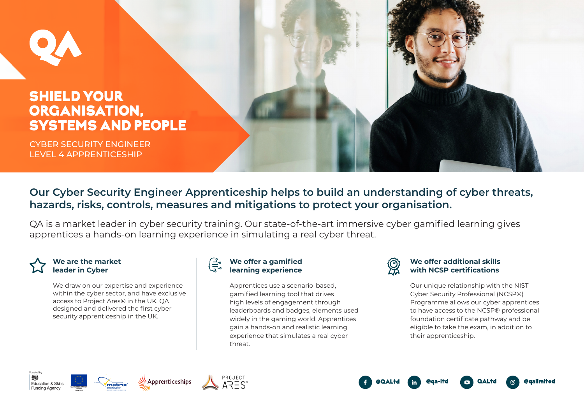# SHIELD YOUR ORGANISATION, SYSTEMS AND PEOPLE

CYBER SECURITY ENGINEER LEVEL 4 APPRENTICESHIP

## **Our Cyber Security Engineer Apprenticeship helps to build an understanding of cyber threats, hazards, risks, controls, measures and mitigations to protect your organisation.**

QA is a market leader in cyber security training. Our state-of-the-art immersive cyber gamified learning gives apprentices a hands-on learning experience in simulating a real cyber threat.



## **We are the market leader in Cyber**

We draw on our expertise and experience within the cyber sector, and have exclusive access to Project Ares® in the UK. QA designed and delivered the first cyber security apprenticeship in the UK.

## **We offer a gamified learning experience**

Apprentices use a scenario-based, gamified learning tool that drives high levels of engagement through leaderboards and badges, elements used widely in the gaming world. Apprentices gain a hands-on and realistic learning experience that simulates a real cyber threat.



### **We offer additional skills with NCSP certifications**

Our unique relationship with the NIST Cyber Security Professional (NCSP®) Programme allows our cyber apprentices to have access to the NCSP® professional foundation certificate pathway and be eligible to take the exam, in addition to their apprenticeship.

**@galimited**